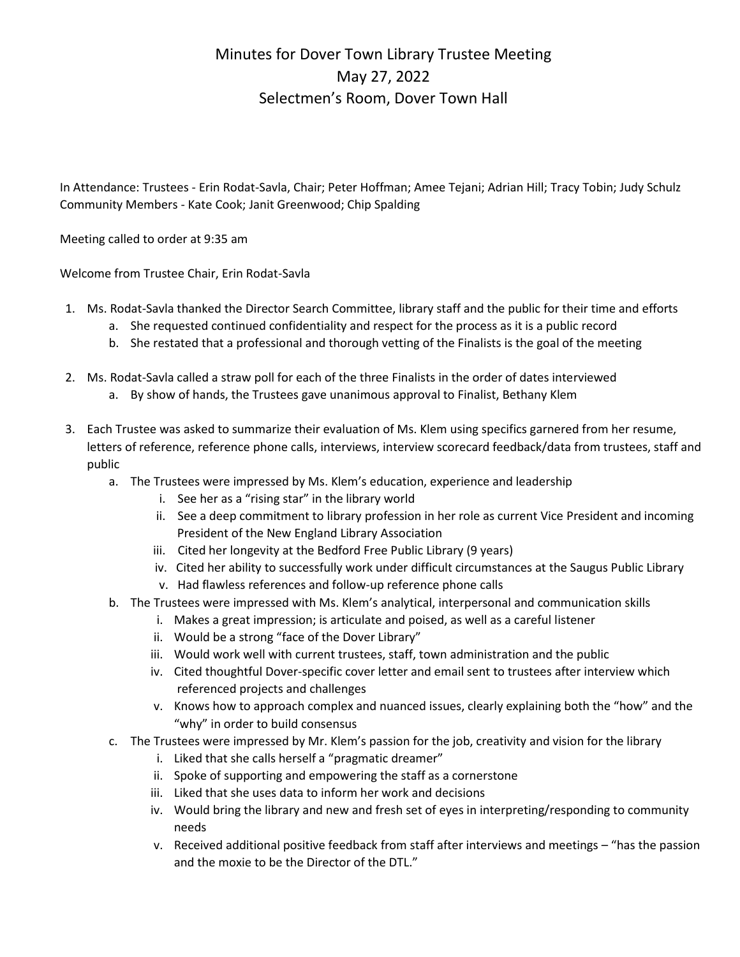## Minutes for Dover Town Library Trustee Meeting May 27, 2022 Selectmen's Room, Dover Town Hall

In Attendance: Trustees - Erin Rodat-Savla, Chair; Peter Hoffman; Amee Tejani; Adrian Hill; Tracy Tobin; Judy Schulz Community Members - Kate Cook; Janit Greenwood; Chip Spalding

Meeting called to order at 9:35 am

Welcome from Trustee Chair, Erin Rodat-Savla

- 1. Ms. Rodat-Savla thanked the Director Search Committee, library staff and the public for their time and efforts
	- a. She requested continued confidentiality and respect for the process as it is a public record
	- b. She restated that a professional and thorough vetting of the Finalists is the goal of the meeting
- 2. Ms. Rodat-Savla called a straw poll for each of the three Finalists in the order of dates interviewed
	- a. By show of hands, the Trustees gave unanimous approval to Finalist, Bethany Klem
- 3. Each Trustee was asked to summarize their evaluation of Ms. Klem using specifics garnered from her resume, letters of reference, reference phone calls, interviews, interview scorecard feedback/data from trustees, staff and public
	- a. The Trustees were impressed by Ms. Klem's education, experience and leadership
		- i. See her as a "rising star" in the library world
		- ii. See a deep commitment to library profession in her role as current Vice President and incoming President of the New England Library Association
		- iii. Cited her longevity at the Bedford Free Public Library (9 years)
		- iv. Cited her ability to successfully work under difficult circumstances at the Saugus Public Library
		- v. Had flawless references and follow-up reference phone calls
	- b. The Trustees were impressed with Ms. Klem's analytical, interpersonal and communication skills
		- i. Makes a great impression; is articulate and poised, as well as a careful listener
		- ii. Would be a strong "face of the Dover Library"
		- iii. Would work well with current trustees, staff, town administration and the public
		- iv. Cited thoughtful Dover-specific cover letter and email sent to trustees after interview which referenced projects and challenges
		- v. Knows how to approach complex and nuanced issues, clearly explaining both the "how" and the "why" in order to build consensus
	- c. The Trustees were impressed by Mr. Klem's passion for the job, creativity and vision for the library
		- i. Liked that she calls herself a "pragmatic dreamer"
		- ii. Spoke of supporting and empowering the staff as a cornerstone
		- iii. Liked that she uses data to inform her work and decisions
		- iv. Would bring the library and new and fresh set of eyes in interpreting/responding to community needs
		- v. Received additional positive feedback from staff after interviews and meetings "has the passion and the moxie to be the Director of the DTL."